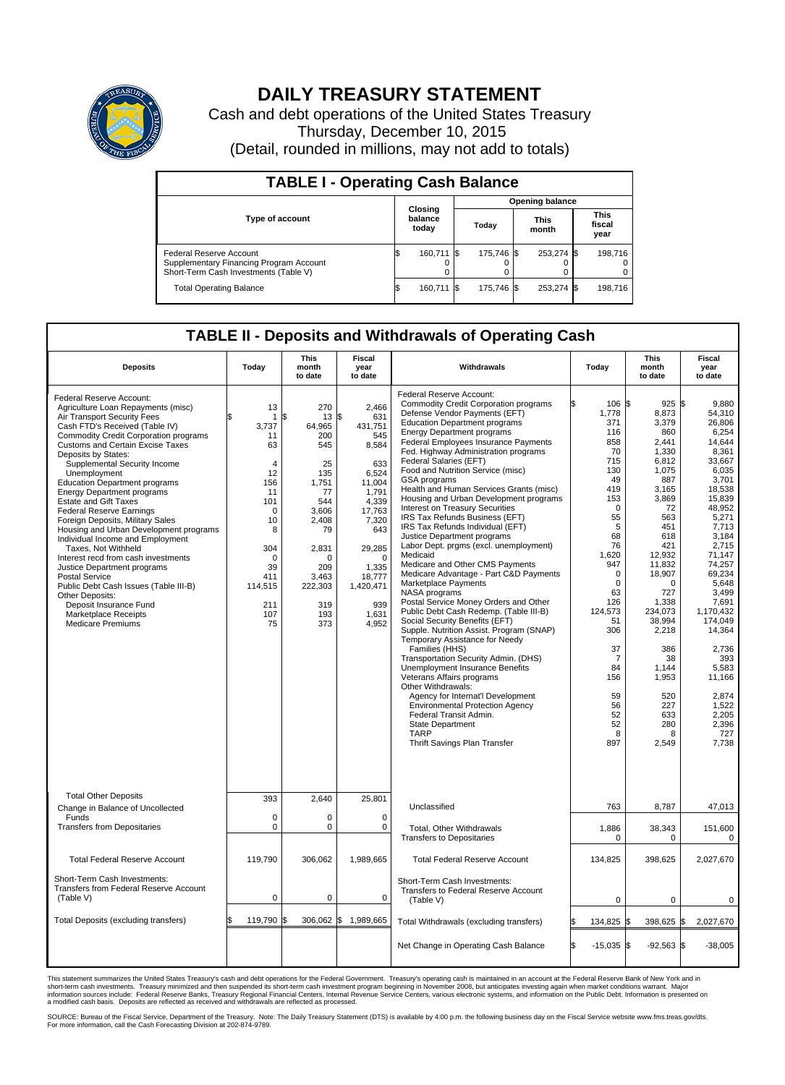

## **DAILY TREASURY STATEMENT**

Cash and debt operations of the United States Treasury Thursday, December 10, 2015 (Detail, rounded in millions, may not add to totals)

| <b>TABLE I - Operating Cash Balance</b>                                                                     |    |                             |                        |            |  |                      |  |                               |  |
|-------------------------------------------------------------------------------------------------------------|----|-----------------------------|------------------------|------------|--|----------------------|--|-------------------------------|--|
|                                                                                                             |    |                             | <b>Opening balance</b> |            |  |                      |  |                               |  |
| <b>Type of account</b>                                                                                      |    | Closing<br>balance<br>today |                        | Today      |  | <b>This</b><br>month |  | <b>This</b><br>fiscal<br>year |  |
| Federal Reserve Account<br>Supplementary Financing Program Account<br>Short-Term Cash Investments (Table V) |    | 160.711 \$                  |                        | 175.746 \$ |  | 253,274 \$           |  | 198.716                       |  |
| <b>Total Operating Balance</b>                                                                              | ß. | 160,711                     |                        | 175.746 \$ |  | 253,274 \$           |  | 198,716                       |  |

## **TABLE II - Deposits and Withdrawals of Operating Cash**

| <b>Deposits</b>                                                                                                                                                                                                                                                                                                                                                                                                                                                                                                                                                                                                                                                                                                                                                                                                                     | Today                                                                                                                                                                           | <b>This</b><br>month<br>to date                                                                                                                                  | <b>Fiscal</b><br>year<br>to date                                                                                                                                                                   | Withdrawals                                                                                                                                                                                                                                                                                                                                                                                                                                                                                                                                                                                                                                                                                                                                                                                                                                                                                                                                                                                                                                                                                                                                                                                                                                                                                                        | Today                                                                                                                                                                                                                                                       | <b>This</b><br>month<br>to date                                                                                                                                                                                                                                                             | <b>Fiscal</b><br>year<br>to date                                                                                                                                                                                                                                                                                                             |
|-------------------------------------------------------------------------------------------------------------------------------------------------------------------------------------------------------------------------------------------------------------------------------------------------------------------------------------------------------------------------------------------------------------------------------------------------------------------------------------------------------------------------------------------------------------------------------------------------------------------------------------------------------------------------------------------------------------------------------------------------------------------------------------------------------------------------------------|---------------------------------------------------------------------------------------------------------------------------------------------------------------------------------|------------------------------------------------------------------------------------------------------------------------------------------------------------------|----------------------------------------------------------------------------------------------------------------------------------------------------------------------------------------------------|--------------------------------------------------------------------------------------------------------------------------------------------------------------------------------------------------------------------------------------------------------------------------------------------------------------------------------------------------------------------------------------------------------------------------------------------------------------------------------------------------------------------------------------------------------------------------------------------------------------------------------------------------------------------------------------------------------------------------------------------------------------------------------------------------------------------------------------------------------------------------------------------------------------------------------------------------------------------------------------------------------------------------------------------------------------------------------------------------------------------------------------------------------------------------------------------------------------------------------------------------------------------------------------------------------------------|-------------------------------------------------------------------------------------------------------------------------------------------------------------------------------------------------------------------------------------------------------------|---------------------------------------------------------------------------------------------------------------------------------------------------------------------------------------------------------------------------------------------------------------------------------------------|----------------------------------------------------------------------------------------------------------------------------------------------------------------------------------------------------------------------------------------------------------------------------------------------------------------------------------------------|
| Federal Reserve Account:<br>Agriculture Loan Repayments (misc)<br>Air Transport Security Fees<br>Cash FTD's Received (Table IV)<br><b>Commodity Credit Corporation programs</b><br>Customs and Certain Excise Taxes<br>Deposits by States:<br>Supplemental Security Income<br>Unemployment<br><b>Education Department programs</b><br><b>Energy Department programs</b><br><b>Estate and Gift Taxes</b><br><b>Federal Reserve Earnings</b><br>Foreign Deposits, Military Sales<br>Housing and Urban Development programs<br>Individual Income and Employment<br>Taxes, Not Withheld<br>Interest recd from cash investments<br>Justice Department programs<br><b>Postal Service</b><br>Public Debt Cash Issues (Table III-B)<br>Other Deposits:<br>Deposit Insurance Fund<br><b>Marketplace Receipts</b><br><b>Medicare Premiums</b> | 13<br>$\mathbf{1}$<br>3,737<br>11<br>63<br>$\overline{4}$<br>12<br>156<br>11<br>101<br>$\mathbf 0$<br>10<br>8<br>304<br>$\mathbf 0$<br>39<br>411<br>114,515<br>211<br>107<br>75 | 270<br>\$<br>13<br>64,965<br>200<br>545<br>25<br>135<br>1.751<br>77<br>544<br>3.606<br>2,408<br>79<br>2,831<br>∩<br>209<br>3,463<br>222,303<br>319<br>193<br>373 | 2,466<br>\$<br>631<br>431,751<br>545<br>8,584<br>633<br>6,524<br>11,004<br>1,791<br>4,339<br>17,763<br>7,320<br>643<br>29,285<br>$\Omega$<br>1,335<br>18,777<br>1,420,471<br>939<br>1,631<br>4,952 | Federal Reserve Account:<br><b>Commodity Credit Corporation programs</b><br>Defense Vendor Payments (EFT)<br><b>Education Department programs</b><br><b>Energy Department programs</b><br>Federal Employees Insurance Payments<br>Fed. Highway Administration programs<br>Federal Salaries (EFT)<br>Food and Nutrition Service (misc)<br><b>GSA</b> programs<br>Health and Human Services Grants (misc)<br>Housing and Urban Development programs<br><b>Interest on Treasury Securities</b><br>IRS Tax Refunds Business (EFT)<br>IRS Tax Refunds Individual (EFT)<br>Justice Department programs<br>Labor Dept. prgms (excl. unemployment)<br>Medicaid<br>Medicare and Other CMS Payments<br>Medicare Advantage - Part C&D Payments<br>Marketplace Payments<br>NASA programs<br>Postal Service Money Orders and Other<br>Public Debt Cash Redemp. (Table III-B)<br>Social Security Benefits (EFT)<br>Supple. Nutrition Assist. Program (SNAP)<br>Temporary Assistance for Needy<br>Families (HHS)<br>Transportation Security Admin. (DHS)<br>Unemployment Insurance Benefits<br>Veterans Affairs programs<br>Other Withdrawals:<br>Agency for Internat'l Development<br><b>Environmental Protection Agency</b><br>Federal Transit Admin.<br><b>State Department</b><br><b>TARP</b><br>Thrift Savings Plan Transfer | 106<br>1,778<br>371<br>116<br>858<br>70<br>715<br>130<br>49<br>419<br>153<br>$\Omega$<br>55<br>5<br>68<br>76<br>1,620<br>947<br>$\mathbf 0$<br>$\mathbf 0$<br>63<br>126<br>124,573<br>51<br>306<br>37<br>7<br>84<br>156<br>59<br>56<br>52<br>52<br>8<br>897 | \$<br>925<br>8,873<br>3,379<br>860<br>2,441<br>1.330<br>6.812<br>1,075<br>887<br>3,165<br>3,869<br>72<br>563<br>451<br>618<br>421<br>12,932<br>11,832<br>18,907<br>0<br>727<br>1,338<br>234.073<br>38,994<br>2,218<br>386<br>38<br>1.144<br>1,953<br>520<br>227<br>633<br>280<br>8<br>2,549 | l\$<br>9.880<br>54,310<br>26,806<br>6.254<br>14,644<br>8.361<br>33,667<br>6,035<br>3,701<br>18.538<br>15,839<br>48,952<br>5.271<br>7,713<br>3.184<br>2,715<br>71,147<br>74,257<br>69.234<br>5,648<br>3.499<br>7,691<br>1,170,432<br>174,049<br>14,364<br>2,736<br>393<br>5.583<br>11,166<br>2.874<br>1,522<br>2,205<br>2,396<br>727<br>7,738 |
| <b>Total Other Deposits</b><br>Change in Balance of Uncollected                                                                                                                                                                                                                                                                                                                                                                                                                                                                                                                                                                                                                                                                                                                                                                     | 393                                                                                                                                                                             | 2,640                                                                                                                                                            | 25,801                                                                                                                                                                                             | Unclassified                                                                                                                                                                                                                                                                                                                                                                                                                                                                                                                                                                                                                                                                                                                                                                                                                                                                                                                                                                                                                                                                                                                                                                                                                                                                                                       | 763                                                                                                                                                                                                                                                         | 8,787                                                                                                                                                                                                                                                                                       | 47,013                                                                                                                                                                                                                                                                                                                                       |
| Funds<br><b>Transfers from Depositaries</b>                                                                                                                                                                                                                                                                                                                                                                                                                                                                                                                                                                                                                                                                                                                                                                                         | $\mathbf 0$<br>0                                                                                                                                                                | $\Omega$<br>0                                                                                                                                                    | $\Omega$<br>0                                                                                                                                                                                      | Total, Other Withdrawals<br><b>Transfers to Depositaries</b>                                                                                                                                                                                                                                                                                                                                                                                                                                                                                                                                                                                                                                                                                                                                                                                                                                                                                                                                                                                                                                                                                                                                                                                                                                                       | 1,886<br>0                                                                                                                                                                                                                                                  | 38,343<br>$\mathbf 0$                                                                                                                                                                                                                                                                       | 151,600<br>$\Omega$                                                                                                                                                                                                                                                                                                                          |
| <b>Total Federal Reserve Account</b>                                                                                                                                                                                                                                                                                                                                                                                                                                                                                                                                                                                                                                                                                                                                                                                                | 119.790                                                                                                                                                                         | 306.062                                                                                                                                                          | 1,989,665                                                                                                                                                                                          | <b>Total Federal Reserve Account</b>                                                                                                                                                                                                                                                                                                                                                                                                                                                                                                                                                                                                                                                                                                                                                                                                                                                                                                                                                                                                                                                                                                                                                                                                                                                                               | 134,825                                                                                                                                                                                                                                                     | 398,625                                                                                                                                                                                                                                                                                     | 2,027,670                                                                                                                                                                                                                                                                                                                                    |
| Short-Term Cash Investments:<br><b>Transfers from Federal Reserve Account</b><br>(Table V)                                                                                                                                                                                                                                                                                                                                                                                                                                                                                                                                                                                                                                                                                                                                          | $\mathbf 0$                                                                                                                                                                     | 0                                                                                                                                                                | $\mathbf 0$                                                                                                                                                                                        | Short-Term Cash Investments:<br>Transfers to Federal Reserve Account<br>(Table V)                                                                                                                                                                                                                                                                                                                                                                                                                                                                                                                                                                                                                                                                                                                                                                                                                                                                                                                                                                                                                                                                                                                                                                                                                                  | $\mathbf 0$                                                                                                                                                                                                                                                 | $\mathbf 0$                                                                                                                                                                                                                                                                                 | 0                                                                                                                                                                                                                                                                                                                                            |
| Total Deposits (excluding transfers)                                                                                                                                                                                                                                                                                                                                                                                                                                                                                                                                                                                                                                                                                                                                                                                                | 119,790<br>\$                                                                                                                                                                   | ß.                                                                                                                                                               | 306,062 \$ 1,989,665                                                                                                                                                                               | Total Withdrawals (excluding transfers)                                                                                                                                                                                                                                                                                                                                                                                                                                                                                                                                                                                                                                                                                                                                                                                                                                                                                                                                                                                                                                                                                                                                                                                                                                                                            | 134,825                                                                                                                                                                                                                                                     | 398,625<br>\$                                                                                                                                                                                                                                                                               | 2,027,670<br>l\$                                                                                                                                                                                                                                                                                                                             |
|                                                                                                                                                                                                                                                                                                                                                                                                                                                                                                                                                                                                                                                                                                                                                                                                                                     |                                                                                                                                                                                 |                                                                                                                                                                  |                                                                                                                                                                                                    | Net Change in Operating Cash Balance                                                                                                                                                                                                                                                                                                                                                                                                                                                                                                                                                                                                                                                                                                                                                                                                                                                                                                                                                                                                                                                                                                                                                                                                                                                                               | ß<br>$-15,035$                                                                                                                                                                                                                                              | \$<br>$-92,563$ \$                                                                                                                                                                                                                                                                          | $-38,005$                                                                                                                                                                                                                                                                                                                                    |

This statement summarizes the United States Treasury's cash and debt operations for the Federal Government. Treasury's operating cash is maintained in an account at the Federal Reserve Bank of New York and in<br>short-term ca

SOURCE: Bureau of the Fiscal Service, Department of the Treasury. Note: The Daily Treasury Statement (DTS) is available by 4:00 p.m. the following business day on the Fiscal Service website www.fms.treas.gov/dts.<br>For more